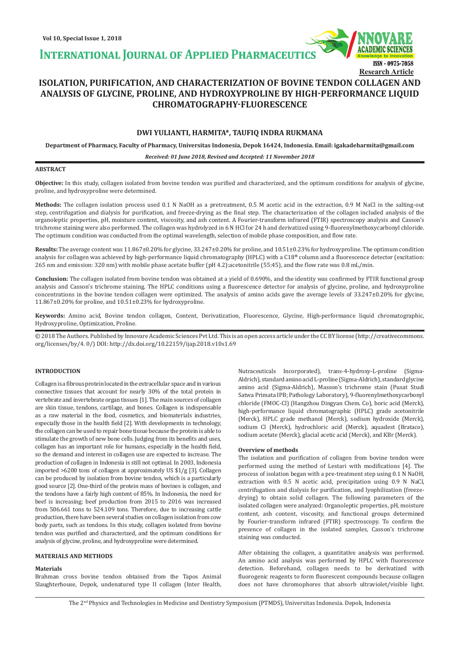**INTERNATIONAL JOURNAL OF APPLIED PHARMACEUTIC** 



# **ISOLATION, PURIFICATION, AND CHARACTERIZATION OF BOVINE TENDON COLLAGEN AND ANALYSIS OF GLYCINE, PROLINE, AND HYDROXYPROLINE BY HIGH-PERFORMANCE LIQUID CHROMATOGRAPHY-FLUORESCENCE**

# **DWI YULIANTI, HARMITA\*, TAUFIQ INDRA RUKMANA**

**Department of Pharmacy, Faculty of Pharmacy, Universitas Indonesia, Depok 16424, Indonesia. Email: igakadeharmita@gmail.com**

*Received: 01 June 2018, Revised and Accepted: 11 November 2018*

# **ABSTRACT**

**Objective:** In this study, collagen isolated from bovine tendon was purified and characterized, and the optimum conditions for analysis of glycine, proline, and hydroxyproline were determined.

**Methods:** The collagen isolation process used 0.1 N NaOH as a pretreatment, 0.5 M acetic acid in the extraction, 0.9 M NaCl in the salting-out step, centrifugation and dialysis for purification, and freeze-drying as the final step. The characterization of the collagen included analysis of the organoleptic properties, pH, moisture content, viscosity, and ash content. A Fourier-transform infrared (FTIR) spectroscopy analysis and Casson's trichrome staining were also performed. The collagen was hydrolyzed in 6 N HCl for 24 h and derivatized using 9-fluorenylmethoxycarbonyl chloride. The optimum condition was conducted from the optimal wavelength, selection of mobile phase composition, and flow rate.

**Results:** The average content was 11.867±0.20% for glycine, 33.247±0.20% for proline, and 10.51±0.23% for hydroxyproline. The optimum condition analysis for collagen was achieved by high-performance liquid chromatography (HPLC) with a C18**®** column and a fluorescence detector (excitation: 265 nm and emission: 320 nm) with mobile phase acetate buffer (pH 4.2):acetonitrile (55:45), and the flow rate was 0.8 mL/min.

**Conclusion:** The collagen isolated from bovine tendon was obtained at a yield of 0.690%, and the identity was confirmed by FTIR functional group analysis and Casson's trichrome staining. The HPLC conditions using a fluorescence detector for analysis of glycine, proline, and hydroxyproline concentrations in the bovine tendon collagen were optimized. The analysis of amino acids gave the average levels of 33.247±0.20% for glycine, 11.867±0.20% for proline, and 10.51±0.23% for hydroxyproline.

**Keywords:** Amino acid, Bovine tendon collagen, Content, Derivatization, Fluorescence, Glycine, High-performance liquid chromatographic, Hydroxyproline, Optimization, Proline.

© 2018 The Authors. Published by Innovare Academic Sciences Pvt Ltd. This is an open access article under the CC BY license (http://creativecommons. org/licenses/by/4. 0/) DOI: http://dx.doi.org/10.22159/ijap.2018.v10s1.69

# **INTRODUCTION**

Collagen is a fibrous protein located in the extracellular space and in various connective tissues that account for nearly 30% of the total protein in vertebrate and invertebrate organ tissues [1]. The main sources of collagen are skin tissue, tendons, cartilage, and bones. Collagen is indispensable as a raw material in the food, cosmetics, and biomaterials industries, especially those in the health field [2]. With developments in technology, the collagen can be used to repair bone tissue because the protein is able to stimulate the growth of new bone cells. Judging from its benefits and uses, collagen has an important role for humans, especially in the health field, so the demand and interest in collagen use are expected to increase. The production of collagen in Indonesia is still not optimal. In 2003, Indonesia imported >6200 tons of collagen at approximately US \$1/g [3]. Collagen can be produced by isolation from bovine tendon, which is a particularly good source [2]. One-third of the protein mass of bovines is collagen, and the tendons have a fairly high content of 85%. In Indonesia, the need for beef is increasing; beef production from 2015 to 2016 was increased from 506.661 tons to 524.109 tons. Therefore, due to increasing cattle production, there have been several studies on collagen isolation from cow body parts, such as tendons. In this study, collagen isolated from bovine tendon was purified and characterized, and the optimum conditions for analysis of glycine, proline, and hydroxyproline were determined.

#### **MATERIALS AND METHODS**

#### **Materials**

Brahman cross bovine tendon obtained from the Tapos Animal Slaughterhouse, Depok, undenatured type II collagen (Inter Health,

Nutraceuticals Incorporated), trans-4-hydroxy-L-proline (Sigma-Aldrich), standard amino acid L-proline (Sigma-Aldrich), standard glycine amino acid (Sigma-Aldrich), Masson's trichrome stain (Pusat Studi Satwa Primata IPB; Pathology Laboratory), 9-fluorenylmethoxycarbonyl chloride (FMOC-Cl) (Hangzhou Dingyan Chem. Co), boric acid (Merck), high-performance liquid chromatographic (HPLC) grade acetonitrile (Merck), HPLC grade methanol (Merck), sodium hydroxide (Merck), sodium Cl (Merck), hydrochloric acid (Merck), aquadest (Brataco), sodium acetate (Merck), glacial acetic acid (Merck), and KBr (Merck).

#### **Overview of methods**

The isolation and purification of collagen from bovine tendon were performed using the method of Lestari with modifications [4]. The process of isolation began with a pre-treatment step using 0.1 N NaOH, extraction with 0.5 N acetic acid, precipitation using 0.9 N NaCl, centrifugation and dialysis for purification, and lyophilization (freezedrying) to obtain solid collagen. The following parameters of the isolated collagen were analyzed: Organoleptic properties, pH, moisture content, ash content, viscosity, and functional groups determined by Fourier-transform infrared (FTIR) spectroscopy. To confirm the presence of collagen in the isolated samples, Casson's trichrome staining was conducted.

After obtaining the collagen, a quantitative analysis was performed. An amino acid analysis was performed by HPLC with fluorescence detection. Beforehand, collagen needs to be derivatized with fluorogenic reagents to form fluorescent compounds because collagen does not have chromophores that absorb ultraviolet/visible light.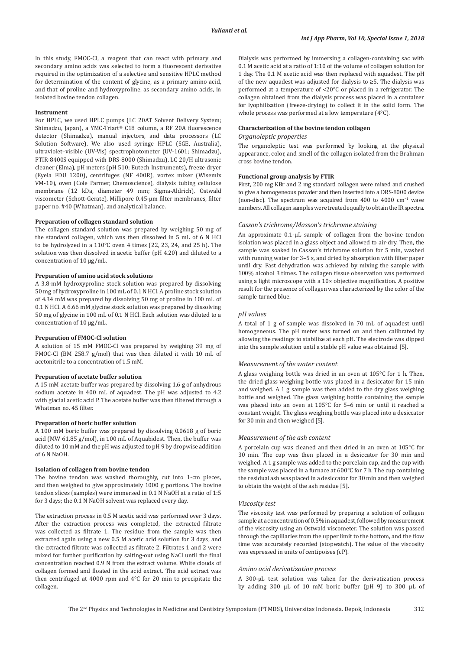In this study, FMOC-Cl, a reagent that can react with primary and secondary amino acids was selected to form a fluorescent derivative required in the optimization of a selective and sensitive HPLC method for determination of the content of glycine, as a primary amino acid, and that of proline and hydroxyproline, as secondary amino acids, in isolated bovine tendon collagen.

#### **Instrument**

For HPLC, we used HPLC pumps (LC 20AT Solvent Delivery System; Shimadzu, Japan), a YMC-Triart® C18 column, a RF 20A fluorescence detector (Shimadzu), manual injectors, and data processors (LC Solution Software). We also used syringe HPLC (SGE, Australia), ultraviolet–visible (UV-Vis) spectrophotometer (UV-1601; Shimadzu), FTIR-8400S equipped with DRS-8000 (Shimadzu), LC 20/H ultrasonic cleaner (Elma), pH meters (pH 510; Eutech Instruments), freeze dryer (Eyela FDU 1200), centrifuges (NF 400R), vortex mixer (Wisemix VM-10), oven (Cole Parmer, Chemoscience), dialysis tubing cellulose membrane (12 kDa, diameter 49 mm; Sigma-Aldrich), Ostwald viscometer (Schott-Gerate), Millipore 0.45-μm filter membranes, filter paper no. #40 (Whatman), and analytical balance.

#### **Preparation of collagen standard solution**

The collagen standard solution was prepared by weighing 50 mg of the standard collagen, which was then dissolved in 5 mL of 6 N HCl to be hydrolyzed in a 110°C oven 4 times (22, 23, 24, and 25 h). The solution was then dissolved in acetic buffer (pH 4.20) and diluted to a concentration of 10 μg/mL.

#### **Preparation of amino acid stock solutions**

A 3.8-mM hydroxyproline stock solution was prepared by dissolving 50 mg of hydroxyproline in 100 mL of 0.1 N HCl. A proline stock solution of 4.34 mM was prepared by dissolving 50 mg of proline in 100 mL of 0.1 N HCl. A 6.66 mM glycine stock solution was prepared by dissolving 50 mg of glycine in 100 mL of 0.1 N HCl. Each solution was diluted to a concentration of 10 μg/mL.

#### **Preparation of FMOC-Cl solution**

A solution of 15 mM FMOC-Cl was prepared by weighing 39 mg of FMOC-Cl (BM 258.7 g/mol) that was then diluted it with 10 mL of acetonitrile to a concentration of 1.5 mM.

#### **Preparation of acetate buffer solution**

A 15 mM acetate buffer was prepared by dissolving 1.6 g of anhydrous sodium acetate in 400 mL of aquadest. The pH was adjusted to 4.2 with glacial acetic acid P. The acetate buffer was then filtered through a Whatman no. 45 filter.

#### **Preparation of boric buffer solution**

A 100 mM boric buffer was prepared by dissolving 0.0618 g of boric acid (MW 61.85 g/mol), in 100 mL of Aquabidest. Then, the buffer was diluted to 10 mM and the pH was adjusted to pH 9 by dropwise addition of 6 N NaOH.

#### **Isolation of collagen from bovine tendon**

The bovine tendon was washed thoroughly, cut into 1-cm pieces, and then weighed to give approximately 1000 g portions. The bovine tendon slices (samples) were immersed in 0.1 N NaOH at a ratio of 1:5 for 3 days; the 0.1 N NaOH solvent was replaced every day.

The extraction process in 0.5 M acetic acid was performed over 3 days. After the extraction process was completed, the extracted filtrate was collected as filtrate 1. The residue from the sample was then extracted again using a new 0.5 M acetic acid solution for 3 days, and the extracted filtrate was collected as filtrate 2. Filtrates 1 and 2 were mixed for further purification by salting-out using NaCl until the final concentration reached 0.9 N from the extract volume. White clouds of collagen formed and floated in the acid extract. The acid extract was then centrifuged at 4000 rpm and 4°C for 20 min to precipitate the collagen.

Dialysis was performed by immersing a collagen-containing sac with 0.1 M acetic acid at a ratio of 1:10 of the volume of collagen solution for 1 day. The 0.1 M acetic acid was then replaced with aquadest. The pH of the new aquadest was adjusted for dialysis to ≥5. The dialysis was performed at a temperature of <20°C or placed in a refrigerator. The collagen obtained from the dialysis process was placed in a container for lyophilization (freeze-drying) to collect it in the solid form. The whole process was performed at a low temperature (4°C).

# **Characterization of the bovine tendon collagen** *Organoleptic properties*

The organoleptic test was performed by looking at the physical appearance, color, and smell of the collagen isolated from the Brahman cross bovine tendon.

#### **Functional group analysis by FTIR**

First, 200 mg KBr and 2 mg standard collagen were mixed and crushed to give a homogeneous powder and then inserted into a DRS-8000 device (non-disc). The spectrum was acquired from 400 to 4000 cm−1 wave numbers. All collagen samples were treated equally to obtain the IR spectra.

# *Casson's trichrome/Masson's trichrome staining*

An approximate 0.1-μL sample of collagen from the bovine tendon isolation was placed in a glass object and allowed to air-dry. Then, the sample was soaked in Casson's trichrome solution for 5 min, washed with running water for 3–5 s, and dried by absorption with filter paper until dry. Fast dehydration was achieved by mixing the sample with 100% alcohol 3 times. The collagen tissue observation was performed using a light microscope with a 10× objective magnification. A positive result for the presence of collagen was characterized by the color of the sample turned blue.

#### *pH values*

A total of 1 g of sample was dissolved in 70 mL of aquadest until homogeneous. The pH meter was turned on and then calibrated by allowing the readings to stabilize at each pH. The electrode was dipped into the sample solution until a stable pH value was obtained [5].

# *Measurement of the water content*

A glass weighing bottle was dried in an oven at 105°C for 1 h. Then, the dried glass weighing bottle was placed in a desiccator for 15 min and weighed. A 1 g sample was then added to the dry glass weighing bottle and weighed. The glass weighing bottle containing the sample was placed into an oven at 105°C for 5–6 min or until it reached a constant weight. The glass weighing bottle was placed into a desiccator for 30 min and then weighed [5].

### *Measurement of the ash content*

A porcelain cup was cleaned and then dried in an oven at 105°C for 30 min. The cup was then placed in a desiccator for 30 min and weighed. A 1 g sample was added to the porcelain cup, and the cup with the sample was placed in a furnace at 600°C for 7 h. The cup containing the residual ash was placed in a desiccator for 30 min and then weighed to obtain the weight of the ash residue [5].

#### *Viscosity test*

The viscosity test was performed by preparing a solution of collagen sample at a concentration of 0.5% in aquadest, followed by measurement of the viscosity using an Ostwald viscometer. The solution was passed through the capillaries from the upper limit to the bottom, and the flow time was accurately recorded (stopwatch). The value of the viscosity was expressed in units of centipoises (cP).

# *Amino acid derivatization process*

A 300-μL test solution was taken for the derivatization process by adding 300 μL of 10 mM boric buffer (pH 9) to 300 μL of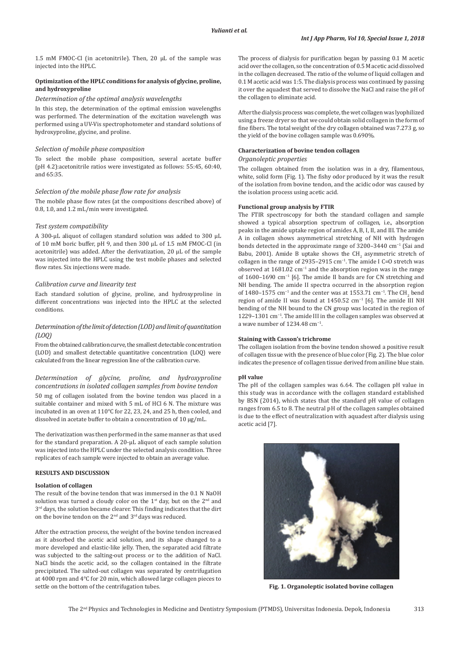1.5 mM FMOC-Cl (in acetonitrile). Then, 20 μL of the sample was injected into the HPLC.

# **Optimization of the HPLC conditions for analysis of glycine, proline, and hydroxyproline**

#### *Determination of the optimal analysis wavelengths*

In this step, the determination of the optimal emission wavelengths was performed. The determination of the excitation wavelength was performed using a UV-Vis spectrophotometer and standard solutions of hydroxyproline, glycine, and proline.

# *Selection of mobile phase composition*

To select the mobile phase composition, several acetate buffer (pH 4.2):acetonitrile ratios were investigated as follows: 55:45, 60:40, and 65:35.

# *Selection of the mobile phase flow rate for analysis*

The mobile phase flow rates (at the compositions described above) of 0.8, 1.0, and 1.2 mL/min were investigated.

#### *Test system compatibility*

A 300-μL aliquot of collagen standard solution was added to 300 μL of 10 mM boric buffer, pH 9, and then 300 μL of 1.5 mM FMOC-Cl (in acetonitrile) was added. After the derivatization, 20 μL of the sample was injected into the HPLC using the test mobile phases and selected flow rates. Six injections were made.

# *Calibration curve and linearity test*

Each standard solution of glycine, proline, and hydroxyproline in different concentrations was injected into the HPLC at the selected conditions.

# *Determination of the limit of detection (LOD) and limit of quantitation (LOQ)*

From the obtained calibration curve, the smallest detectable concentration (LOD) and smallest detectable quantitative concentration (LOQ) were calculated from the linear regression line of the calibration curve.

*Determination of glycine, proline, and hydroxyproline concentrations in isolated collagen samples from bovine tendon* 50 mg of collagen isolated from the bovine tendon was placed in a suitable container and mixed with 5 mL of HCl 6 N. The mixture was incubated in an oven at 110°C for 22, 23, 24, and 25 h, then cooled, and dissolved in acetate buffer to obtain a concentration of 10 μg/mL.

The derivatization was then performed in the same manner as that used for the standard preparation. A 20-μL aliquot of each sample solution was injected into the HPLC under the selected analysis condition. Three replicates of each sample were injected to obtain an average value.

# **RESULTS AND DISCUSSION**

#### **Isolation of collagen**

The result of the bovine tendon that was immersed in the 0.1 N NaOH solution was turned a cloudy color on the  $1<sup>st</sup>$  day, but on the  $2<sup>nd</sup>$  and 3<sup>rd</sup> days, the solution became clearer. This finding indicates that the dirt on the bovine tendon on the 2<sup>nd</sup> and 3<sup>rd</sup> days was reduced.

After the extraction process, the weight of the bovine tendon increased as it absorbed the acetic acid solution, and its shape changed to a more developed and elastic-like jelly. Then, the separated acid filtrate was subjected to the salting-out process or to the addition of NaCl. NaCl binds the acetic acid, so the collagen contained in the filtrate precipitated. The salted-out collagen was separated by centrifugation at 4000 rpm and 4°C for 20 min, which allowed large collagen pieces to settle on the bottom of the centrifugation tubes.

The process of dialysis for purification began by passing 0.1 M acetic acid over the collagen, so the concentration of 0.5 M acetic acid dissolved in the collagen decreased. The ratio of the volume of liquid collagen and 0.1 M acetic acid was 1:5. The dialysis process was continued by passing it over the aquadest that served to dissolve the NaCl and raise the pH of the collagen to eliminate acid.

After the dialysis process was complete, the wet collagen was lyophilized using a freeze dryer so that we could obtain solid collagen in the form of fine fibers. The total weight of the dry collagen obtained was 7.273 g, so the yield of the bovine collagen sample was 0.690%.

### **Characterization of bovine tendon collagen**

## *Organoleptic properties*

The collagen obtained from the isolation was in a dry, filamentous, white, solid form (Fig. 1). The fishy odor produced by it was the result of the isolation from bovine tendon, and the acidic odor was caused by the isolation process using acetic acid.

# **Functional group analysis by FTIR**

The FTIR spectroscopy for both the standard collagen and sample showed a typical absorption spectrum of collagen, i.e., absorption peaks in the amide uptake region of amides A, B, I, II, and III. The amide A in collagen shows asymmetrical stretching of NH with hydrogen bonds detected in the approximate range of 3200–3440 cm−1 (Sai and Babu, 2001). Amide B uptake shows the  $CH<sub>2</sub>$  asymmetric stretch of collagen in the range of 2935–2915 cm<sup>-1</sup>. The amide I C=O stretch was observed at 1681.02 cm−1 and the absorption region was in the range of 1600–1690 cm−1 [6]. The amide II bands are for CN stretching and NH bending. The amide II spectra occurred in the absorption region of 1480–1575 cm<sup>-1</sup> and the center was at 1553.71 cm<sup>-1</sup>. The CH<sub>2</sub> bend region of amide II was found at 1450.52 cm<sup>-1</sup> [6]. The amide III NH bending of the NH bound to the CN group was located in the region of 1229–1301 cm−1. The amide III in the collagen samples was observed at a wave number of 1234.48 cm−1.

#### **Staining with Casson's trichrome**

The collagen isolation from the bovine tendon showed a positive result of collagen tissue with the presence of blue color (Fig. 2). The blue color indicates the presence of collagen tissue derived from aniline blue stain.

#### **pH value**

The pH of the collagen samples was 6.64. The collagen pH value in this study was in accordance with the collagen standard established by BSN (2014), which states that the standard pH value of collagen ranges from 6.5 to 8. The neutral pH of the collagen samples obtained is due to the effect of neutralization with aquadest after dialysis using acetic acid [7].



**Fig. 1. Organoleptic isolated bovine collagen**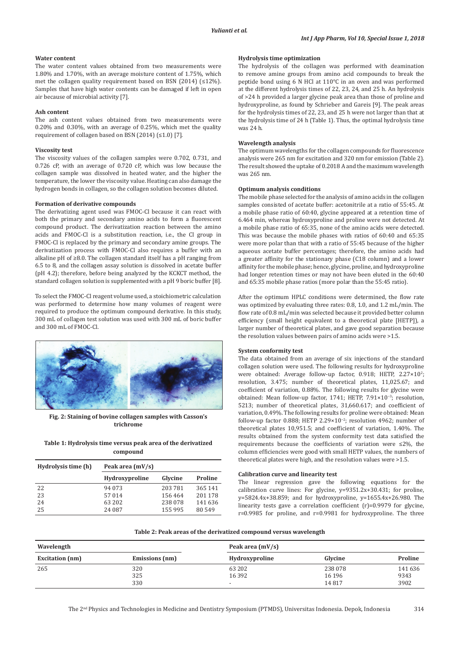### **Water content**

The water content values obtained from two measurements were 1.80% and 1.70%, with an average moisture content of 1.75%, which met the collagen quality requirement based on BSN (2014) (≤12%). Samples that have high water contents can be damaged if left in open air because of microbial activity [7].

#### **Ash content**

The ash content values obtained from two measurements were 0.20% and 0.30%, with an average of 0.25%, which met the quality requirement of collagen based on BSN (2014) (≤1.0) [7].

# **Viscosity test**

The viscosity values of the collagen samples were 0.702, 0.731, and 0.726 cP, with an average of 0.720 cP, which was low because the collagen sample was dissolved in heated water, and the higher the temperature, the lower the viscosity value. Heating can also damage the hydrogen bonds in collagen, so the collagen solution becomes diluted.

### **Formation of derivative compounds**

The derivatizing agent used was FMOC-Cl because it can react with both the primary and secondary amino acids to form a fluorescent compound product. The derivatization reaction between the amino acids and FMOC-Cl is a substitution reaction, i.e., the Cl group in FMOC-Cl is replaced by the primary and secondary amine groups. The derivatization process with FMOC-Cl also requires a buffer with an alkaline pH of ≥8.0. The collagen standard itself has a pH ranging from 6.5 to 8, and the collagen assay solution is dissolved in acetate buffer (pH 4.2); therefore, before being analyzed by the KCKCT method, the standard collagen solution is supplemented with a pH 9 boric buffer [8].

To select the FMOC-Cl reagent volume used, a stoichiometric calculation was performed to determine how many volumes of reagent were required to produce the optimum compound derivative. In this study, 300 mL of collagen test solution was used with 300 mL of boric buffer and 300 mL of FMOC-Cl.



**Fig. 2: Staining of bovine collagen samples with Casson's trichrome**

| Table 1: Hydrolysis time versus peak area of the derivatized |
|--------------------------------------------------------------|
| compound                                                     |

| Hydrolysis time (h) | Peak area $(mV/s)$    |         |         |  |
|---------------------|-----------------------|---------|---------|--|
|                     | <b>Hydroxyproline</b> | Glycine | Proline |  |
| 22                  | 94 0 73               | 203781  | 365 141 |  |
| 23                  | 57 014                | 156464  | 201 178 |  |
| 24                  | 63 202                | 238 078 | 141 636 |  |
| 25                  | 24 087                | 155 995 | 80549   |  |

#### **Hydrolysis time optimization**

The hydrolysis of the collagen was performed with deamination to remove amine groups from amino acid compounds to break the peptide bond using 6 N HCl at 110°C in an oven and was performed at the different hydrolysis times of 22, 23, 24, and 25 h. An hydrolysis of >24 h provided a larger glycine peak area than those of proline and hydroxyproline, as found by Schrieber and Gareis [9]. The peak areas for the hydrolysis times of 22, 23, and 25 h were not larger than that at the hydrolysis time of 24 h (Table 1). Thus, the optimal hydrolysis time was 24 h.

### **Wavelength analysis**

The optimum wavelengths for the collagen compounds for fluorescence analysis were 265 nm for excitation and 320 nm for emission (Table 2). The result showed the uptake of 0.2018 A and the maximum wavelength was 265 nm.

# **Optimum analysis conditions**

The mobile phase selected for the analysis of amino acids in the collagen samples consisted of acetate buffer: acetonitrile at a ratio of 55:45. At a mobile phase ratio of 60:40, glycine appeared at a retention time of 6.464 min, whereas hydroxyproline and proline were not detected. At a mobile phase ratio of 65:35, none of the amino acids were detected. This was because the mobile phases with ratios of 60:40 and 65:35 were more polar than that with a ratio of 55:45 because of the higher aqueous acetate buffer percentages; therefore, the amino acids had a greater affinity for the stationary phase (C18 column) and a lower affinity for the mobile phase; hence, glycine, proline, and hydroxyproline had longer retention times or may not have been eluted in the 60:40 and 65:35 mobile phase ratios (more polar than the 55:45 ratio).

After the optimum HPLC conditions were determined, the flow rate was optimized by evaluating three rates: 0.8, 1.0, and 1.2 mL/min. The flow rate of 0.8 mL/min was selected because it provided better column efficiency (small height equivalent to a theoretical plate [HETP]), a larger number of theoretical plates, and gave good separation because the resolution values between pairs of amino acids were >1.5.

#### **System conformity test**

The data obtained from an average of six injections of the standard collagen solution were used. The following results for hydroxyproline were obtained: Average follow-up factor, 0.918; HETP, 2.27×10<sup>2</sup>; resolution, 3.475; number of theoretical plates, 11,025.67; and coefficient of variation, 0.88%. The following results for glycine were obtained: Mean follow-up factor, 1741; HETP, 7.91×10−3; resolution, 5213; number of theoretical plates, 31,660.617; and coefficient of variation, 0.49%. The following results for proline were obtained: Mean follow-up factor 0.888; HETP 2.29×10−2; resolution 4962; number of theoretical plates 10,951.5; and coefficient of variation, 1.40%. The results obtained from the system conformity test data satisfied the requirements because the coefficients of variation were ≤2%, the column efficiencies were good with small HETP values, the numbers of theoretical plates were high, and the resolution values were >1.5.

# **Calibration curve and linearity test**

The linear regression gave the following equations for the calibration curve lines: For glycine, y=9351.2x+30.431; for proline, y=5824.4x+38.859; and for hydroxyproline, y=1655.4x+26.980. The linearity tests gave a correlation coefficient (r)=0.9979 for glycine, r=0.9985 for proline, and r=0.9981 for hydroxyproline. The three

**Table 2: Peak areas of the derivatized compound versus wavelength**

| Wavelength             |                   | Peak area $(mV/s)$                             |                             |                         |
|------------------------|-------------------|------------------------------------------------|-----------------------------|-------------------------|
| <b>Excitation</b> (nm) | Emissions (nm)    | Hydroxyproline                                 | Glycine                     | Proline                 |
| 265                    | 320<br>325<br>330 | 63 202<br>16 3 9 2<br>$\overline{\phantom{a}}$ | 238 078<br>16 19 6<br>14817 | 141 636<br>9343<br>3902 |